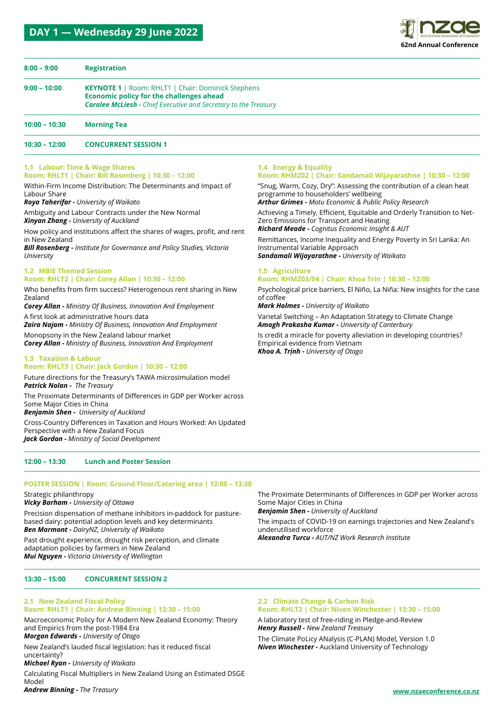### **DAY 1 — Wednesday 29 June 2022**



| $8:00 - 9:00$   | <b>Registration</b>                                                                                                                                                                    |
|-----------------|----------------------------------------------------------------------------------------------------------------------------------------------------------------------------------------|
| $9:00 - 10:00$  | <b>KEYNOTE 1</b>   Room: RHLT1   Chair: Dominick Stephens<br><b>Economic policy for the challenges ahead</b><br><b>Caralee McLiesh - Chief Executive and Secretary to the Treasury</b> |
| $10:00 - 10:30$ | <b>Morning Tea</b>                                                                                                                                                                     |
| $10:30 - 12:00$ | <b>CONCURRENT SESSION 1</b>                                                                                                                                                            |

**1.4 Energy & Equality**

programme to householders' wellbeing

Zero Emissions for Transport and Heating *Richard Meade - Cognitus Economic Insight & AUT*

*Sandamali Wijayarathne - University of Waikato*

*Amogh Prakasha Kumar - University of Canterbury*

Instrumental Variable Approach

*Mark Holmes - University of Waikato*

Empirical evidence from Vietnam *Khoa A. Trịnh - University of Otago*

**1.5 Agriculture**

of coffee

*Arthur Grimes - Motu Economic & Public Policy Research*

**Room: RHMZ03/04 | Chair: Khoa Trin | 10:30 – 12:00**

Varietal Switching – An Adaptation Strategy to Climate Change

Is credit a miracle for poverty alleviation in developing countries?

### **1.1 Labour: Time & Wage Shares**

**Room: RHLT1 | Chair: Bill Rosenberg | 10:30 – 12:00**

Within-Firm Income Distribution: The Determinants and Impact of Labour Share

*Roya Taherifar - University of Waikato*

Ambiguity and Labour Contracts under the New Normal *Xinyan Zhang - University of Auckland*

How policy and institutions affect the shares of wages, profit, and rent in New Zealand

*Bill Rosenberg - Institute for Governance and Policy Studies, Victoria University*

### **1.2 MBIE Themed Session**

**Room: RHLT2 | Chair: Corey Allan | 10:30 – 12:00**

Who benefits from firm success? Heterogenous rent sharing in New Zealand

*Corey Allan - Ministry Of Business, Innovation And Employment* A first look at administrative hours data

*Zaira Najam - Ministry Of Business, Innovation And Employment*

Monopsony in the New Zealand labour market *Corey Allan - Ministry of Business, Innovation And Employment*

### **1.3 Taxation & Labour**

### **Room: RHLT3 | Chair: Jack Gordon | 10:30 – 12:00**

Future directions for the Treasury's TAWA microsimulation model *Patrick Nolan - The Treasury*

The Proximate Determinants of Differences in GDP per Worker across Some Major Cities in China

*Benjamin Shen - University of Auckland*

Cross-Country Differences in Taxation and Hours Worked: An Updated Perspective with a New Zealand Focus *Jack Gordon - Ministry of Social Development*

### **12:00 – 13:30 Lunch and Poster Session**

### **POSTER SESSION | Room: Ground Floor/Catering area | 12:00 – 13:30**

Strategic philanthropy

*Vicky Barham - University of Ottawa*

Precision dispensation of methane inhibitors in-paddock for pasturebased dairy: potential adoption levels and key determinants *Ben Marmont - DairyNZ, University of Waikato*

Past drought experience, drought risk perception, and climate adaptation policies by farmers in New Zealand *Mui Nguyen - Victoria University of Wellington*

**13:30 – 15:00 CONCURRENT SESSION 2** 

### The Proximate Determinants of Differences in GDP per Worker across Some Major Cities in China

**Room: RHMZ02 | Chair: Sandamali Wijayarathne | 10:30 – 12:00** "Snug, Warm, Cozy, Dry": Assessing the contribution of a clean heat

Achieving a Timely, Efficient, Equitable and Orderly Transition to Net-

Remittances, Income Inequality and Energy Poverty in Sri Lanka: An

Psychological price barriers, El Niño, La Niña: New insights for the case

*Benjamin Shen - University of Auckland*

The impacts of COVID-19 on earnings trajectories and New Zealand's underutilised workforce

*Alexandra Turcu - AUT/NZ Work Research Institute*

### **2.1 New Zealand Fiscal Policy Room: RHLT1 | Chair: Andrew Binning | 13:30 – 15:00**

Macroeconomic Policy for A Modern New Zealand Economy: Theory and Empirics from the post-1984 Era *Morgan Edwards - University of Otago*

New Zealand's lauded fiscal legislation: has it reduced fiscal uncertainty?

*Michael Ryan - University of Waikato*

Calculating Fiscal Multipliers in New Zealand Using an Estimated DSGE Model

### *Andrew Binning - The Treasury*

### **2.2 Climate Change & Carbon Risk Room: RHLT2 | Chair: Niven Winchester | 13:30 – 15:00**

A laboratory test of free-riding in Pledge-and-Review *Henry Russell - New Zealand Treasury*

The Climate PoLicy ANalysis (C-PLAN) Model, Version 1.0 *Niven Winchester -* Auckland University of Technology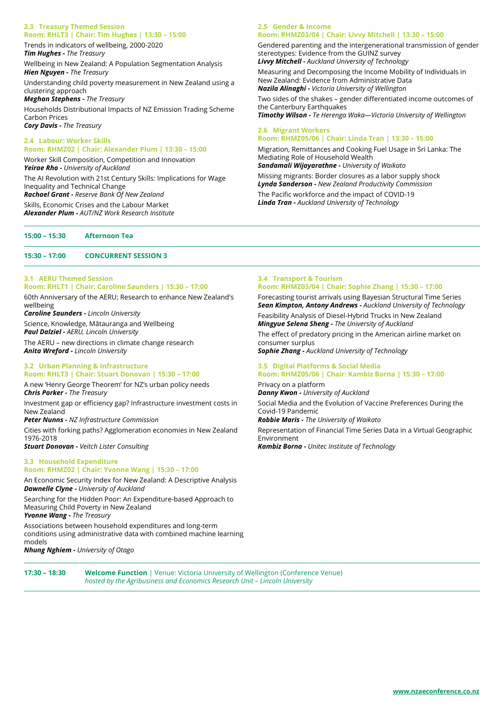### **2.3 Treasury Themed Session Room: RHLT3 | Chair: Tim Hughes | 13:30 – 15:00**

Trends in indicators of wellbeing, 2000-2020

*Tim Hughes - The Treasury*

Wellbeing in New Zealand: A Population Segmentation Analysis *Hien Nguyen - The Treasury*

Understanding child poverty measurement in New Zealand using a clustering approach

*Meghan Stephens - The Treasury*

Households Distributional Impacts of NZ Emission Trading Scheme Carbon Prices *Cory Davis - The Treasury*

**2.4 Labour: Worker Skills**

**Room: RHMZ02 | Chair: Alexander Plum | 13:30 – 15:00**

Worker Skill Composition, Competition and Innovation *Yeirae Rho - University of Auckland*

The AI Revolution with 21st Century Skills: Implications for Wage Inequality and Technical Change

*Rachael Grant - Reserve Bank Of New Zealand*

Skills, Economic Crises and the Labour Market *Alexander Plum - AUT/NZ Work Research Institute*

**15:00 – 15:30 Afternoon Tea**

### **15:30 – 17:00 CONCURRENT SESSION 3**

#### **3.1 AERU Themed Session Room: RHLT1 | Chair: Caroline Saunders | 15:30 – 17:00**

60th Anniversary of the AERU; Research to enhance New Zealand's wellbeing

*Caroline Saunders - Lincoln University*

Science, Knowledge, Mātauranga and Wellbeing *Paul Dalziel - AERU, Lincoln University*

The AERU – new directions in climate change research *Anita Wreford - Lincoln University*

### **3.2 Urban Planning & Infrastructure Room: RHLT3 | Chair: Stuart Donovan | 15:30 – 17:00**

A new 'Henry George Theorem' for NZ's urban policy needs *Chris Parker - The Treasury*

Investment gap or efficiency gap? Infrastructure investment costs in New Zealand

*Peter Nunns - NZ Infrastructure Commission*

Cities with forking paths? Agglomeration economies in New Zealand 1976-2018

*Stuart Donovan - Veitch Lister Consulting*

### **3.3 Household Expenditure Room: RHMZ02 | Chair: Yvonne Wang | 15:30 – 17:00**

An Economic Security Index for New Zealand: A Descriptive Analysis *Dawnelle Clyne - University of Auckland*

Searching for the Hidden Poor: An Expenditure-based Approach to Measuring Child Poverty in New Zealand

*Yvonne Wang - The Treasury*

Associations between household expenditures and long-term conditions using administrative data with combined machine learning models

*Nhung Nghiem - University of Otago*

### **2.5 Gender & Income Room: RHMZ03/04 | Chair: Livvy Mitchell | 13:30 – 15:00**

Gendered parenting and the intergenerational transmission of gender stereotypes: Evidence from the GUINZ survey *Livvy Mitchell - Auckland University of Technology*

Measuring and Decomposing the Income Mobility of Individuals in New Zealand: Evidence from Administrative Data *Nazila Alinaghi - Victoria University of Wellington*

Two sides of the shakes – gender differentiated income outcomes of the Canterbury Earthquakes *Timothy Wilson - Te Herenga Waka—Victoria University of Wellington*

### **2.6 Migrant Workers Room: RHMZ05/06 | Chair: Linda Tran | 13:30 – 15:00**

Migration, Remittances and Cooking Fuel Usage in Sri Lanka: The Mediating Role of Household Wealth *Sandamali Wijayarathne - University of Waikato*

Missing migrants: Border closures as a labor supply shock *Lynda Sanderson - New Zealand Productivity Commission* The Pacific workforce and the impact of COVID-19 *Linda Tran - Auckland University of Technology*

### **3.4 Transport & Tourism Room: RHMZ03/04 | Chair: Sophie Zhang | 15:30 – 17:00**

Forecasting tourist arrivals using Bayesian Structural Time Series *Sean Kimpton, Antony Andrews - Auckland University of Technology* Feasibility Analysis of Diesel-Hybrid Trucks in New Zealand *Mingyue Selena Sheng - The University of Auckland*

The effect of predatory pricing in the American airline market on consumer surplus

*Sophie Zhang - Auckland University of Technology*

### **3.5 Digital Platforms & Social Media Room: RHMZ05/06 | Chair: Kambiz Borna | 15:30 – 17:00**

Privacy on a platform *Danny Kwon - University of Auckland* Social Media and the Evolution of Vaccine Preferences During the Covid-19 Pandemic *Robbie Maris - The University of Waikato*

Representation of Financial Time Series Data in a Virtual Geographic Environment *Kambiz Borna - Unitec Institute of Technology*

**17:30 – 18:30 Welcome Function** | Venue: Victoria University of Wellington (Conference Venue) *hosted by the Agribusiness and Economics Research Unit – Lincoln University*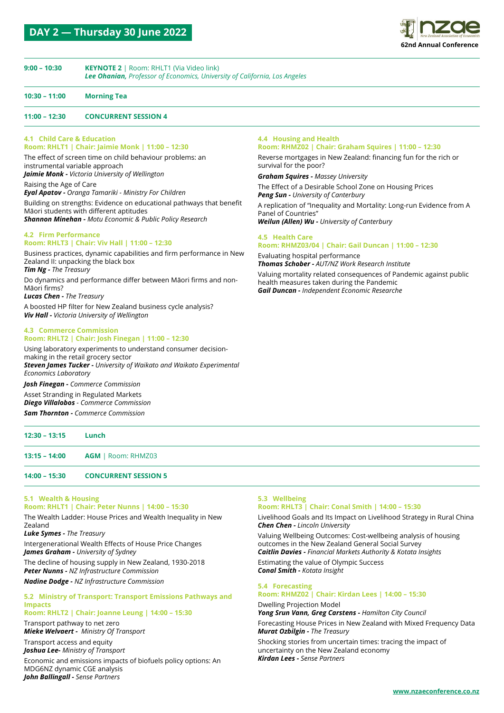

### **9:00 – 10:30 KEYNOTE 2** | Room: RHLT1 (Via Video link) *Lee Ohanian, Professor of Economics, University of California, Los Angeles*

### **10:30 – 11:00 Morning Tea**

### **11:00 – 12:30 CONCURRENT SESSION 4**

### **4.1 Child Care & Education**

**Room: RHLT1 | Chair: Jaimie Monk | 11:00 – 12:30** The effect of screen time on child behaviour problems: an instrumental variable approach

*Jaimie Monk - Victoria University of Wellington* Raising the Age of Care

*Eyal Apatov - Oranga Tamariki - Ministry For Children*

Building on strengths: Evidence on educational pathways that benefit Māori students with different aptitudes *Shannon Minehan - Motu Economic & Public Policy Research*

#### **4.2 Firm Performance Room: RHLT3 | Chair: Viv Hall | 11:00 – 12:30**

Business practices, dynamic capabilities and firm performance in New Zealand II: unpacking the black box *Tim Ng - The Treasury*

Do dynamics and performance differ between Māori firms and non-Māori firms?

*Lucas Chen - The Treasury*

A boosted HP filter for New Zealand business cycle analysis? *Viv Hall - Victoria University of Wellington*

#### **4.3 Commerce Commission Room: RHLT2 | Chair: Josh Finegan | 11:00 – 12:30**

Using laboratory experiments to understand consumer decisionmaking in the retail grocery sector *Steven James Tucker - University of Waikato and Waikato Experimental Economics Laboratory*

*Josh Finegan - Commerce Commission* Asset Stranding in Regulated Markets *Diego Villalobos - Commerce Commission*

*Sam Thornton - Commerce Commission*

### **4.4 Housing and Health**

#### **Room: RHMZ02 | Chair: Graham Squires | 11:00 – 12:30**

Reverse mortgages in New Zealand: financing fun for the rich or survival for the poor?

*Graham Squires - Massey University* The Effect of a Desirable School Zone on Housing Prices *Peng Sun - University of Canterbury*

A replication of "Inequality and Mortality: Long-run Evidence from A Panel of Countries"

*Weilun (Allen) Wu - University of Canterbury*

### **4.5 Health Care**

### **Room: RHMZ03/04 | Chair: Gail Duncan | 11:00 – 12:30** Evaluating hospital performance

*Thomas Schober - AUT/NZ Work Research Institute* Valuing mortality related consequences of Pandemic against public health measures taken during the Pandemic

*Gail Duncan - Independent Economic Researche*

# **12:30 – 13:15 Lunch 13:15 – 14:00 AGM** | Room: RHMZ03 **14:00 – 15:30 CONCURRENT SESSION 5**

### **5.1 Wealth & Housing**

### **Room: RHLT1 | Chair: Peter Nunns | 14:00 – 15:30**

The Wealth Ladder: House Prices and Wealth Inequality in New Zealand

*Luke Symes - The Treasury*

Intergenerational Wealth Effects of House Price Changes *James Graham - University of Sydney* The decline of housing supply in New Zealand, 1930-2018 *Peter Nunns - NZ Infrastructure Commission*

*Nadine Dodge - NZ Infrastructure Commission*

### **5.2 Ministry of Transport: Transport Emissions Pathways and Impacts**

## **Room: RHLT2 | Chair: Joanne Leung | 14:00 – 15:30**

Transport pathway to net zero *Mieke Welvaert - Ministry Of Transport*

Transport access and equity *Joshua Lee- Ministry of Transport*

Economic and emissions impacts of biofuels policy options: An MDG6NZ dynamic CGE analysis *John Ballingall - Sense Partners*

### **5.3 Wellbeing**

### **Room: RHLT3 | Chair: Conal Smith | 14:00 – 15:30**

Livelihood Goals and Its Impact on Livelihood Strategy in Rural China *Chen Chen - Lincoln University*

Valuing Wellbeing Outcomes: Cost-wellbeing analysis of housing outcomes in the New Zealand General Social Survey *Caitlin Davies - Financial Markets Authority & Kotata Insights*

Estimating the value of Olympic Success *Conal Smith - Kotata Insight*

### **5.4 Forecasting**

### **Room: RHMZ02 | Chair: Kirdan Lees | 14:00 – 15:30** Dwelling Projection Model

*Yong Srun Vann, Greg Carstens - Hamilton City Council* Forecasting House Prices in New Zealand with Mixed Frequency Data *Murat Ozbilgin - The Treasury*

Shocking stories from uncertain times: tracing the impact of uncertainty on the New Zealand economy *Kirdan Lees - Sense Partners*